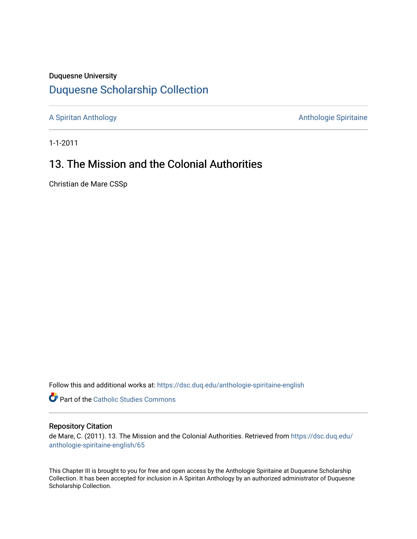#### Duquesne University

### [Duquesne Scholarship Collection](https://dsc.duq.edu/)

[A Spiritan Anthology](https://dsc.duq.edu/anthologie-spiritaine-english) **Anthology** Anthologie Spiritaine

1-1-2011

## 13. The Mission and the Colonial Authorities

Christian de Mare CSSp

Follow this and additional works at: [https://dsc.duq.edu/anthologie-spiritaine-english](https://dsc.duq.edu/anthologie-spiritaine-english?utm_source=dsc.duq.edu%2Fanthologie-spiritaine-english%2F65&utm_medium=PDF&utm_campaign=PDFCoverPages)

**Part of the [Catholic Studies Commons](http://network.bepress.com/hgg/discipline/1294?utm_source=dsc.duq.edu%2Fanthologie-spiritaine-english%2F65&utm_medium=PDF&utm_campaign=PDFCoverPages)** 

#### Repository Citation

de Mare, C. (2011). 13. The Mission and the Colonial Authorities. Retrieved from [https://dsc.duq.edu/](https://dsc.duq.edu/anthologie-spiritaine-english/65?utm_source=dsc.duq.edu%2Fanthologie-spiritaine-english%2F65&utm_medium=PDF&utm_campaign=PDFCoverPages) [anthologie-spiritaine-english/65](https://dsc.duq.edu/anthologie-spiritaine-english/65?utm_source=dsc.duq.edu%2Fanthologie-spiritaine-english%2F65&utm_medium=PDF&utm_campaign=PDFCoverPages) 

This Chapter III is brought to you for free and open access by the Anthologie Spiritaine at Duquesne Scholarship Collection. It has been accepted for inclusion in A Spiritan Anthology by an authorized administrator of Duquesne Scholarship Collection.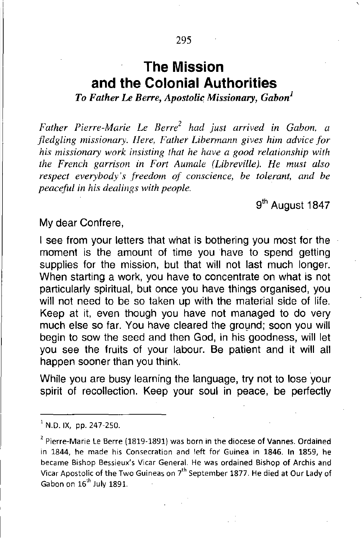# **The Mission and the Colonial Authorities**

*To Father Le Berre, Apostolic Missionary, Gabon]*

*Father Pierre-Marie Le Berri had just arrived in Gabon, a fledgling missionary. Here, Father Libermann gives him advice for his missionary work insisting that he have a good relationship with the French garrison in Fort Aumale (Libreville). He must also respect everybody's freedom of conscience, be tolerant, and be peaceful in his dealings with people.*

9<sup>th</sup> August 1847

#### My dear Confrere,

I see from your letters that what is bothering you most for the moment is the amount of time you have to spend getting supplies for the mission, but that will not last much longer. When starting a work, you have to concentrate on what is not particularly spiritual, but once you have things organised, you will not need to be so taken up with the material side of life. Keep at it, even though you have not managed to do very much else so far. You have cleared the ground; soon you will begin to sow the seed and then God, in his goodness, will let you see the fruits of your labour. Be patient and it will all happen sooner than you think.

While you are busy learning the language, try not to lose your spirit of recollection. Keep your soul in peace, be perfectly

 $1$  N.D. IX, pp. 247-250.

 $2$  Pierre-Marie Le Berre (1819-1891) was born in the diocese of Vannes. Ordained in 1844, he made his Consecration and left for Guinea in 1846. In 1859, he became Bishop Bessieux's Vicar General. He was ordained Bishop of Archis and Vicar Apostolic of the Two Guineas on 7<sup>th</sup> September 1877. He died at Our Lady of Gabon on 16<sup>th</sup> July 1891.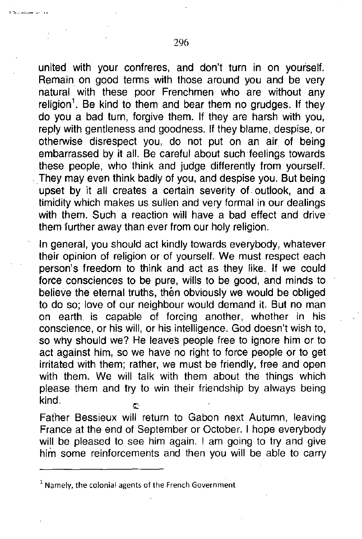united with your confreres, and don't turn in on yourself. Remain on good terms with those around you and be very natural with these poor Frenchmen who are without any religion<sup>1</sup>. Be kind to them and bear them no grudges. If they do you a bad turn, forgive them. If they are harsh with you, reply with gentleness and goodness. If they blame, despise, or otherwise disrespect you, do not put on an air of being embarrassed by it all. Be careful about such feelings towards these people, who think and judge differently from yourself. .They may even think badly of you, and despise you. But being upset by it all creates a certain severity of. outlook, and a timidity which makes us sullen and very formal in our dealings with them. Such a reaction will have a bad effect and drive them further away than ever from our holy religion.

In general, you should act kindly towards everybody, whatever their opinion of religion or of yourself. We must respect each person's freedom to think and act as they like. If we could force consciences to be pure, wills to be good, and minds to believe the eternal truths, then obviously we would be obliged to do so; love of our neighbour Would demand it. But no man on earth. is capable of forcing another, whether in his conscience, or his will, or his intelligence. God doesn't wish to, so why should we? He leaves people free to ignore him or to act against him, so we have no right to force people or to get irritated with them; rather, we must be friendly, free and open with them. We will talk with them about the things which please them and try to win their friendship by always being kind.

Father Bessieux will return to Gabon next Autumn, leaving France at the end of September or October. I hope everybody will be pleased to see him again. I am going to try and give him some reinforcements and then you will be able to carry

<sup>1</sup> **Namely, the colonial agents of the French Government**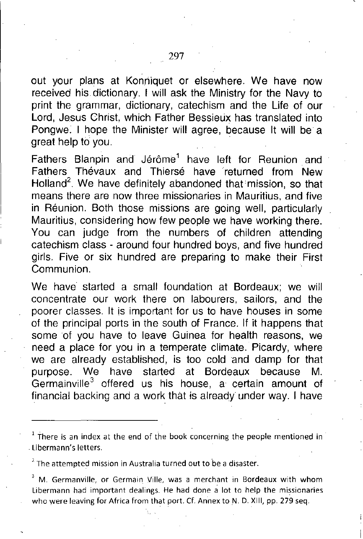out your plans at Konriiquet or elsewhere. We have now received his dictionary. I will ask the Ministry for the Navy to print the grammar, dictionary, catechism and the Life of our Lord, Jesus Christ, which Father Bessieux has translated into Pongwe. I hope the Minister will agree, because It will be a great help to you. .

Fathers Blanpin and Jérôme<sup>1</sup> have left for Reunion and Fathers Thévaux and Thiersé have returned from New Holland<sup>2</sup>. We have definitely abandoned that mission, so that means there are now three missionaries in Mauritius, and five in Reunion. Both those missions are going well, particularly Mauritius, considering how few people we have working there. You can judge from the numbers of children attending catechism class - around four hundred boys, and five hundred girls. Five or six hundred are preparing to make their First Communion.

We have started a small foundation at Bordeaux; we will concentrate our work there on labourers, sailors, and the poorer classes. It is important for us to have houses in some of the principal ports in the south of France. If it happens that some of you have to leave Guinea for health reasons, we need a place for you in a temperate climate. Picardy, where we are already established, is too cold and damp for that purpose. We have started at Bordeaux because M. Germainville<sup>3</sup> offered us his house, a certain amount of financial backing and a work that is already under way. I have

 $<sup>1</sup>$  There is an index at the end of the book concerning the people mentioned in</sup> Libermann's letters.

<sup>7.</sup> **The attempted mission in Australia turned out to be a disaster.**

<sup>3</sup> **M. GermanviJle, or Germain Ville, was a merchant in Bordeaux with whom Libermann had important dealings. He had done a lot to help the** who were leaving for Africa from that port. Cf. Annex to N. D. XIII, pp. 279 seq.